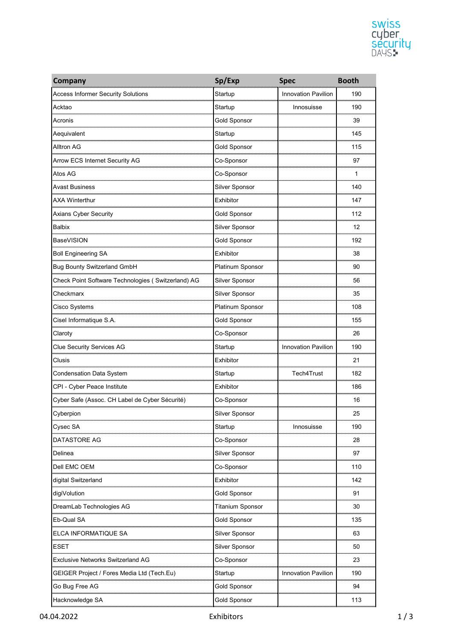

| <b>Company</b>                                     | Sp/Exp                                              | <b>Spec</b>                          | <b>Booth</b> |
|----------------------------------------------------|-----------------------------------------------------|--------------------------------------|--------------|
| <b>Access Informer Security Solutions</b>          | Startup                                             | <b>Innovation Pavilion</b>           | 190          |
| Acktao                                             | Startup                                             | Innosuisse                           | 190<br>հասատ |
| Acronis                                            | Gold Sponsor                                        |                                      | 39           |
| Aequivalent                                        | Startup                                             |                                      | 145          |
| Alltron AG                                         | Gold Sponsor                                        |                                      | 115          |
| Arrow ECS Internet Security AG                     | Co-Sponsor                                          |                                      | 97           |
| Atos AG                                            | Co-Sponsor                                          |                                      | 1            |
| <b>Avast Business</b>                              | Silver Sponsor                                      |                                      | 140          |
| <b>AXA Winterthur</b>                              | Exhibitor                                           |                                      | 147<br>      |
| <b>Axians Cyber Security</b>                       | Gold Sponsor                                        |                                      | 112          |
| Balbix                                             | Silver Sponsor<br>,,,,,,,,,,,,,,,,,,,,,,,,,,,,      |                                      | 12           |
| <b>BaseVISION</b>                                  | Gold Sponsor                                        |                                      | 192          |
| <b>Boll Engineering SA</b>                         | Exhibitor                                           |                                      | 38           |
| Bug Bounty Switzerland GmbH                        | Platinum Sponsor                                    |                                      | 90           |
| Check Point Software Technologies (Switzerland) AG | Silver Sponsor                                      |                                      | 56           |
| Checkmarx                                          | Silver Sponsor                                      |                                      | 35           |
| Cisco Systems                                      | Platinum Sponsor                                    |                                      | 108          |
| Cisel Informatique S.A.                            | Gold Sponsor                                        |                                      | 155          |
| Claroty                                            | Co-Sponsor                                          |                                      | 26           |
| <b>Clue Security Services AG</b>                   | Startup                                             | <b>Innovation Pavilion</b>           | 190<br>      |
| Clusis                                             | Exhibitor                                           | ,,,,,,,,,,,,,,,,,,,,,,,,,,,,,,,,,,,, | 21           |
| <b>Condensation Data System</b>                    | Startup<br>                                         | Tech4Trust                           | 182          |
| CPI - Cyber Peace Institute                        | Exhibitor                                           |                                      | 186          |
| Cyber Safe (Assoc. CH Label de Cyber Sécurité)     | Co-Sponsor                                          |                                      | 16           |
| Cyberpion                                          | Silver Sponsor                                      |                                      | 25           |
| Cysec SA                                           | Startup                                             | Innosuisse                           | 190          |
| DATASTORE AG                                       | Co-Sponsor                                          |                                      | 28           |
| Delinea                                            | Silver Sponsor                                      |                                      | 97           |
| Dell EMC OEM                                       | Co-Sponsor                                          |                                      | 110          |
| digital Switzerland                                | Exhibitor                                           |                                      | 142          |
| digiVolution                                       | Gold Sponsor                                        |                                      | 91           |
| DreamLab Technologies AG                           | Titanium Sponsor                                    |                                      | 30           |
| Eb-Qual SA                                         | Gold Sponsor                                        |                                      | 135          |
| ELCA INFORMATIQUE SA                               | Silver Sponsor                                      |                                      | 63           |
| ESET                                               | Silver Sponsor                                      |                                      | 50<br>       |
| Exclusive Networks Switzerland AG                  | Co-Sponsor                                          |                                      | 23           |
| GEIGER Project / Fores Media Ltd (Tech.Eu)         | Startup                                             | Innovation Pavilion                  | 190          |
| Go Bug Free AG                                     | Gold Sponsor<br>00000000000000000000000000000000000 |                                      | 94           |
| Hacknowledge SA                                    | Gold Sponsor                                        |                                      | 113          |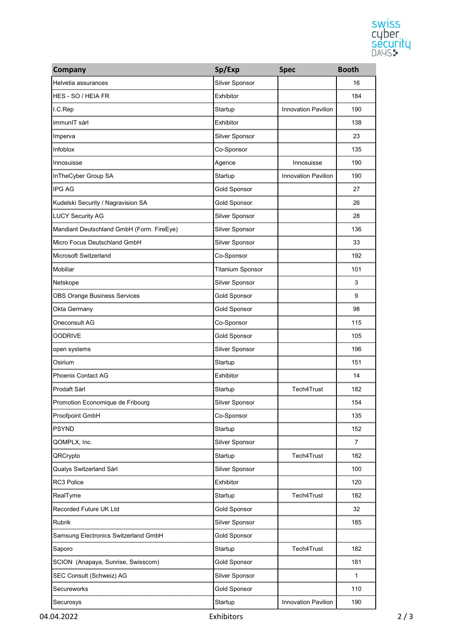

| <b>Company</b>                            | Sp/Exp                                                   | <b>Spec</b>                                | <b>Booth</b> |
|-------------------------------------------|----------------------------------------------------------|--------------------------------------------|--------------|
| Helvetia assurances                       | Silver Sponsor                                           |                                            | 16           |
| HES - SO / HEIA FR                        | Exhibitor                                                |                                            | 184          |
| I.C.Rep                                   | Startup                                                  | <b>Innovation Pavilion</b>                 | 190          |
| immunIT sàrl                              | Exhibitor                                                |                                            | 138          |
| Imperva                                   | Silver Sponsor                                           |                                            | 23           |
| Infoblox                                  | Co-Sponsor                                               |                                            | 135          |
| Innosuisse                                | Agence                                                   | Innosuisse                                 | 190          |
| In The Cyber Group SA                     | Startup                                                  | Innovation Pavilion                        | 190          |
| <b>IPG AG</b>                             | Gold Sponsor                                             |                                            | 27           |
| Kudelski Security / Nagravision SA        | Gold Sponsor                                             |                                            | 26           |
| <b>LUCY Security AG</b>                   | Silver Sponsor                                           |                                            | 28           |
| Mandiant Deutschland GmbH (Form. FireEye) | ,,,,,,,,,,,,,,,,,,,,,,,,<br>Silver Sponsor               |                                            | 136          |
| Micro Focus Deutschland GmbH              | Silver Sponsor                                           |                                            | 33           |
| Microsoft Switzerland                     | Co-Sponsor                                               |                                            | 192          |
| Mobiliar                                  | Titanium Sponsor<br>                                     |                                            | 101          |
| Netskope                                  | Silver Sponsor                                           |                                            | 3            |
| <b>OBS Orange Business Services</b>       | <b>Gold Sponsor</b>                                      |                                            | 9            |
| Okta Germany                              | Gold Sponsor                                             |                                            | 98           |
| Oneconsult AG                             | Co-Sponsor                                               |                                            | 115          |
| <b>OODRIVE</b>                            | Gold Sponsor                                             |                                            | 105          |
| open systems                              | Silver Sponsor                                           |                                            | 196          |
| Osirium                                   | Startup                                                  |                                            | 151          |
| <b>Phoenix Contact AG</b>                 | Exhibitor                                                |                                            | 14           |
| Prodaft Sàrl                              | Startup                                                  | Tech4Trust                                 | 182          |
| Promotion Economique de Fribourg          | Silver Sponsor                                           |                                            | 154          |
| <b>Proofpoint GmbH</b>                    | Co-Sponsor                                               |                                            | 135          |
| PSYND                                     | Startup                                                  |                                            | 152          |
| QOMPLX. Inc.                              | Silver Sponsor                                           |                                            | 7            |
| QRCrypto                                  | Startup                                                  | Tech4Trust                                 | 182<br>      |
| Qualys Switzerland Sàrl                   | Silver Sponsor<br>,,,,,,,,,,,,,,,,,,,,,,,,,,,,,,,,,,,,,, |                                            | 100          |
| <b>RC3 Police</b>                         | Exhibitor                                                |                                            | 120          |
| RealTyme                                  | Startup                                                  | Tech4Trust<br>,,,,,,,,,,,,,,,,,,,,,,,,,,,, | 182          |
| Recorded Future UK Ltd                    | Gold Sponsor                                             |                                            | 32           |
| <b>Rubrik</b>                             | Silver Sponsor                                           |                                            | 185          |
| Samsung Electronics Switzerland GmbH      | Gold Sponsor                                             |                                            |              |
| Saporo                                    | Startup                                                  | Tech4Trust                                 | 182<br>      |
| SCION (Anapaya, Sunrise, Swisscom)        | Gold Sponsor                                             |                                            | 181          |
| SEC Consult (Schweiz) AG                  | Silver Sponsor                                           |                                            | 1            |
| Secureworks                               | Gold Sponsor                                             |                                            | 110          |
| Securosys                                 | Startup                                                  | Innovation Pavilion                        | 190          |